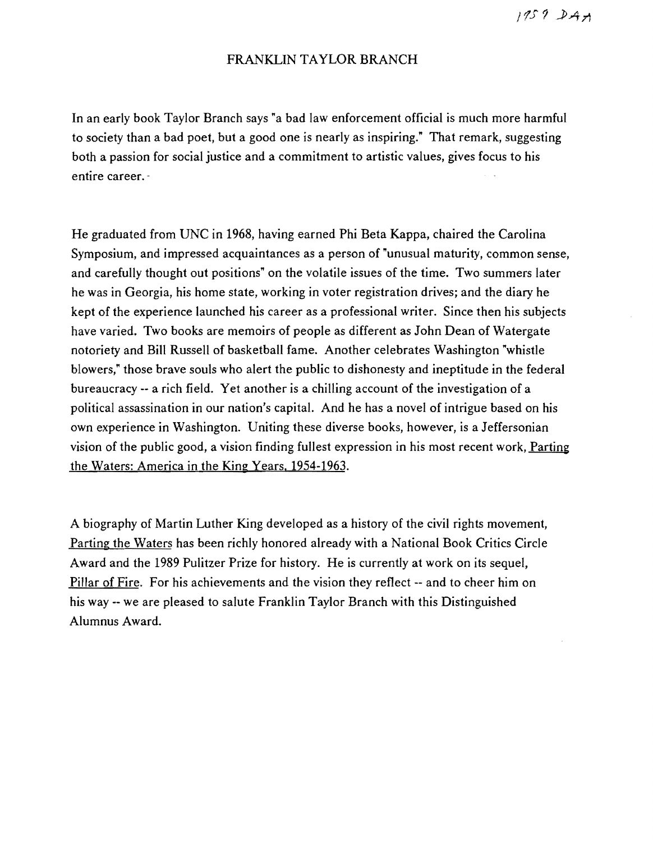$1959$   $241$ 

## FRANKLIN TAYLOR BRANCH

In an early book Taylor Branch says "a bad law enforcement official is much more harmful to society than a bad poet, but a good one is nearly as inspiring." That remark, suggesting both a passion for social justice and a commitment to artistic values, gives focus to his entire career.·

He graduated from UNC in 1968, having earned Phi Beta Kappa, chaired the Carolina Symposium, and impressed acquaintances as a person of "unusual maturity, common sense, and carefully thought out positions" on the volatile issues of the time. Two summers later he was in Georgia, his home state, working in voter registration drives; and the diary he kept of the experience launched his career as a professional writer. Since then his subjects have varied. Two books are memoirs of people as different as John Dean of Watergate notoriety and Bill Russell of basketball fame. Another celebrates Washington "whistle blowers," those brave souls who alert the public to dishonesty and ineptitude in the federal bureaucracy -- a rich field. Yet another is a chilling account of the investigation of a political assassination in our nation's capital. And he has a novel of intrigue based on his own experience in Washington. Uniting these diverse books, however, is a Jeffersonian vision of the public good, a vision finding fullest expression in his most recent work, Parting the Waters: America in the King Years. 1954-1963.

A biography of Martin Luther King developed as a history of the civil rights movement, Parting the Waters has been richly honored already with a National Book Critics Circle Award and the 1989 Pulitzer Prize for history. He is currently at work on its sequel, Pillar of Fire. For his achievements and the vision they reflect -- and to cheer him on his way -- we are pleased to salute Franklin Taylor Branch with this Distinguished Alumnus Award.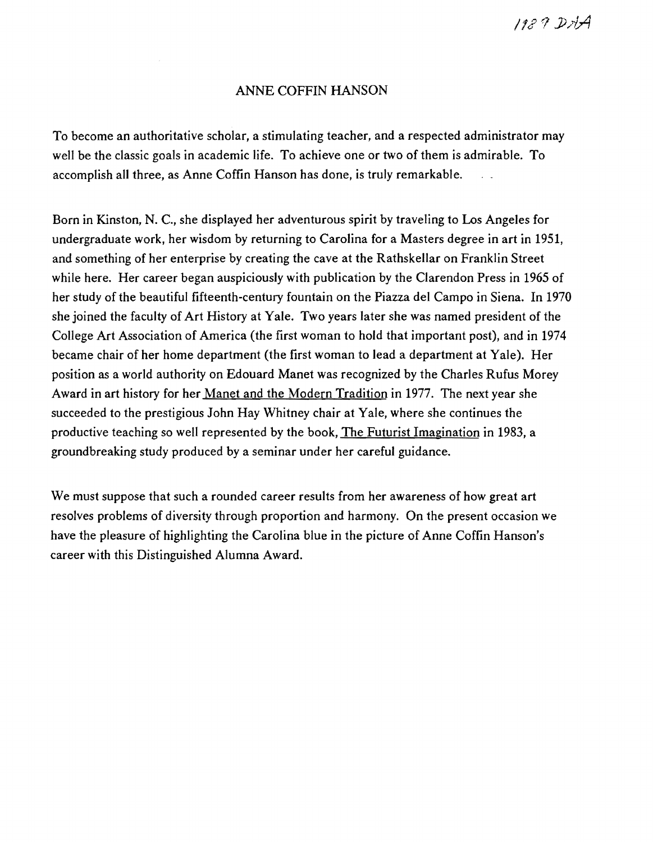# ANNE COFFIN HANSON

To become an authoritative scholar, a stimulating teacher, and a respected administrator may well be the classic goals in academic life. To achieve one or two of them is admirable. To accomplish all three, as Anne Coffin Hanson has done, is truly remarkable.

Born in Kinston, N. c., she displayed her adventurous spirit by traveling to Los Angeles for undergraduate work, her wisdom by returning to Carolina for a Masters degree in art in 1951, and something of her enterprise by creating the cave at the Rathskellar on Franklin Street while here. Her career began auspiciously with publication by the Clarendon Press in 1965 of her study of the beautiful fifteenth-century fountain on the Piazza del Campo in Siena. In 1970 she joined the faculty of Art History at Yale. Two years later she was named president of the College Art Association of America (the first woman to hold that important post), and in 1974 became chair of her home department (the first woman to lead a department at Yale). Her position as a world authority on Edouard Manet was recognized by the Charles Rufus Morey Award in art history for her Manet and the Modern Tradition in 1977. The next year she succeeded to the prestigious John Hay Whitney chair at Yale, where she continues the productive teaching so well represented by the book, The Futurist Imagination in 1983, a groundbreaking study produced by a seminar under her careful guidance.

We must suppose that such a rounded career results from her awareness of how great art resolves problems of diversity through proportion and harmony. On the present occasion we have the pleasure of highlighting the Carolina blue in the picture of Anne Coffin Hanson's career with this Distinguished Alumna Award.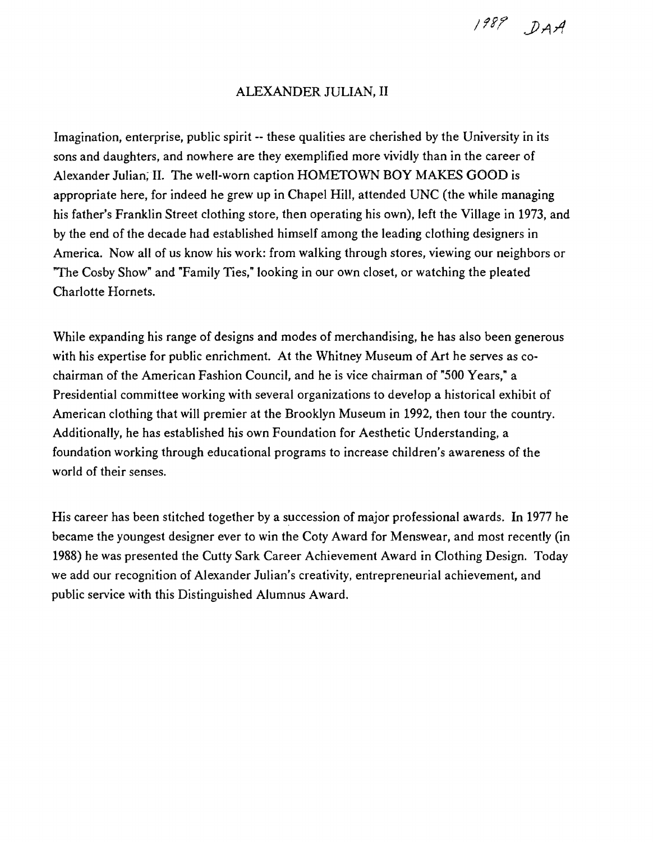1989 DAA

#### ALEXANDER JULIAN, II

Imagination, enterprise, public spirit -- these qualities are cherished by the University in its sons and daughters, and nowhere are they exemplified more vividly than in the career of Alexander Julian; II. The well-worn caption HOMETOWN BOY MAKES GOOD is appropriate here, for indeed he grew up in Chapel Hill, attended UNC (the while managing his father's Franklin Street clothing store, then operating his own), left the Village in 1973, and by the end of the decade had established himself among the leading clothing designers in America. Now all of us know his work: from walking through stores, viewing our neighbors or "The Cosby Show" and "Family Ties," looking in our own closet, or watching the pleated Charlotte Hornets.

While expanding his range of designs and modes of merchandising, he has also been generous with his expertise for public enrichment. At the Whitney Museum of Art he serves as cochairman of the American Fashion Council, and he is vice chairman of "500 Years," a Presidential committee working with several organizations to develop a historical exhibit of American clothing that will premier at the Brooklyn Museum in 1992, then tour the country. Additionally, he has established his own Foundation for Aesthetic Understanding, a foundation working through educational programs to increase children's awareness of the world of their senses.

His career has been stitched together by a succession of major professional awards. In 1977 he became the youngest designer ever to win the Coty Award for Menswear, and most recently (in 1988) he was presented the Cutty Sark Career Achievement Award in Clothing Design. Today we add our recognition of Alexander Julian's creativity, entrepreneurial achievement, and public service with this Distinguished Alumnus Award.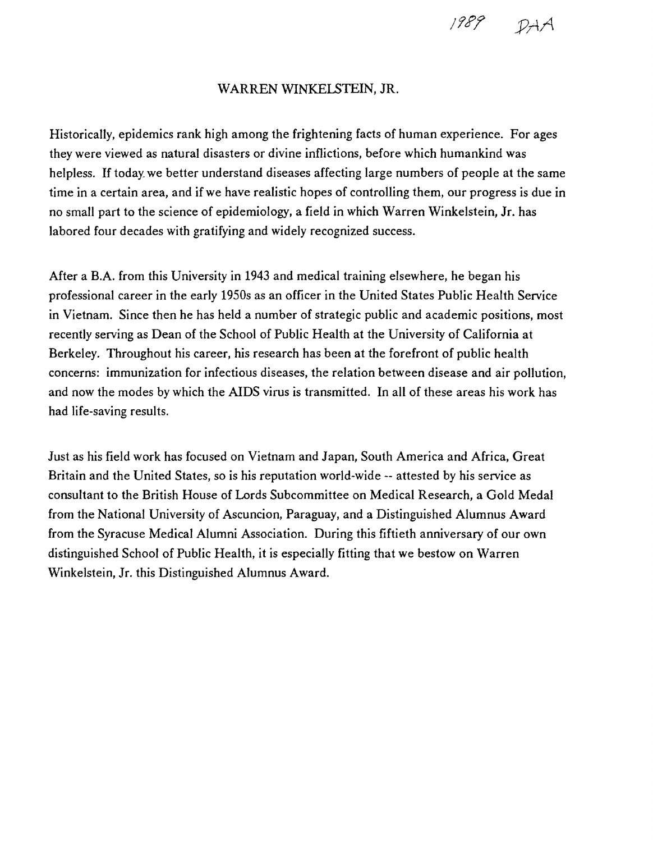

### WARREN WINKElSTEIN, JR.

Historically, epidemics rank high among the frightening facts of human experience. For ages they were viewed as natural disasters or divine inflictions, before which humankind was helpless. If today. we better understand diseases affecting large numbers of people at the same time in a certain area, and if we have realistic hopes of controlling them, our progress is due in no small part to the science of epidemiology, a field in which Warren Winkelstein, Jr. has labored four decades with gratifying and widely recognized success.

After a B.A. from this University in 1943 and medical training elsewhere, he began his professional career in the early 1950s as an officer in the United States Public Health Service in Vietnam. Since then he has held a number of strategic public and academic positions, most recently serving as Dean of the School of Public Health at the University of California at Berkeley. Throughout his career, his research has been at the forefront of public health concerns: immunization for infectious diseases, the relation between disease and air pollution, and now the modes by which the AIDS virus is transmitted. In all of these areas his work has had life-saving results.

Just as his field work has focused on Vietnam and Japan, South America and Africa, Great Britain and the United States, so is his reputation world-wide -- attested by his service as consultant to the British House of Lords Subcommittee on Medical Research, a Gold Medal from the National University of Ascuncion, Paraguay, and a Distinguished Alumnus Award from the Syracuse Medical Alumni Association. During this fiftieth anniversary of our own distinguished School of Public Health, it is especially fitting that we bestow on Warren Winkelstein, Jr. this Distinguished Alumnus Award.